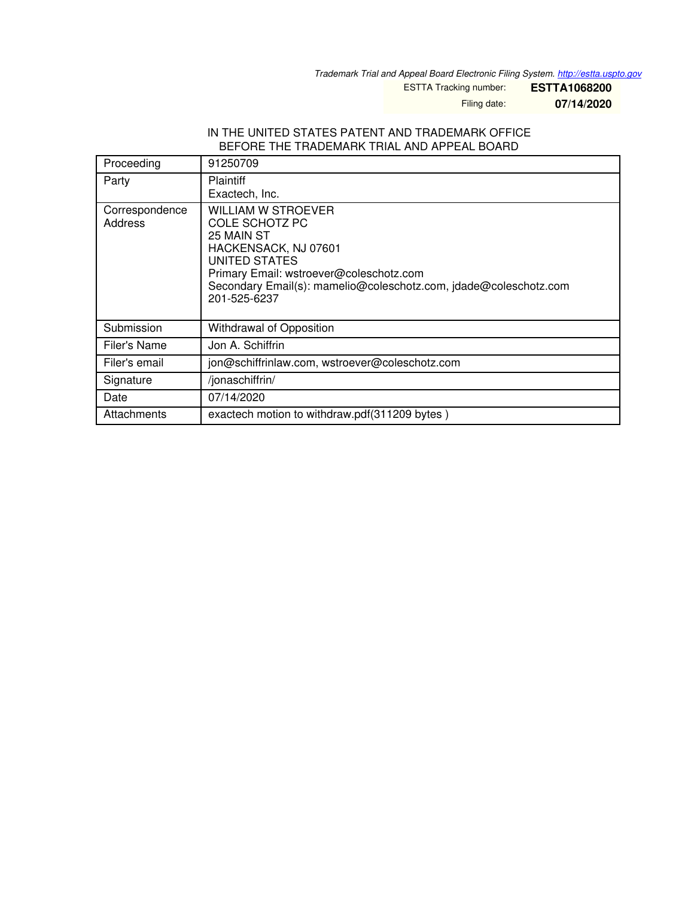*Trademark Trial and Appeal Board Electronic Filing System. <http://estta.uspto.gov>*

ESTTA Tracking number: **ESTTA1068200**

Filing date: **07/14/2020**

#### IN THE UNITED STATES PATENT AND TRADEMARK OFFICE BEFORE THE TRADEMARK TRIAL AND APPEAL BOARD

| Proceeding                | 91250709                                                                                                                                                                                                                          |
|---------------------------|-----------------------------------------------------------------------------------------------------------------------------------------------------------------------------------------------------------------------------------|
| Party                     | <b>Plaintiff</b><br>Exactech, Inc.                                                                                                                                                                                                |
| Correspondence<br>Address | <b>WILLIAM W STROEVER</b><br>COLE SCHOTZ PC<br>25 MAIN ST<br>HACKENSACK, NJ 07601<br>UNITED STATES<br>Primary Email: wstroever@coleschotz.com<br>Secondary Email(s): mamelio@coleschotz.com, jdade@coleschotz.com<br>201-525-6237 |
| Submission                | Withdrawal of Opposition                                                                                                                                                                                                          |
| Filer's Name              | Jon A. Schiffrin                                                                                                                                                                                                                  |
| Filer's email             | jon@schiffrinlaw.com, wstroever@coleschotz.com                                                                                                                                                                                    |
| Signature                 | /jonaschiffrin/                                                                                                                                                                                                                   |
| Date                      | 07/14/2020                                                                                                                                                                                                                        |
| Attachments               | exactech motion to withdraw.pdf(311209 bytes)                                                                                                                                                                                     |